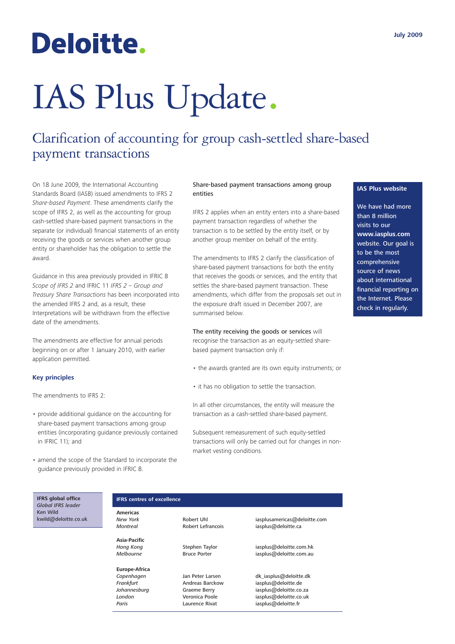## Deloitte.

# IAS Plus Update.

### Clarification of accounting for group cash-settled share-based payment transactions

On 18 June 2009, the International Accounting Standards Board (IASB) issued amendments to IFRS 2 *Share-based Payment*. These amendments clarify the scope of IFRS 2, as well as the accounting for group cash-settled share-based payment transactions in the separate (or individual) financial statements of an entity receiving the goods or services when another group entity or shareholder has the obligation to settle the award.

Guidance in this area previously provided in IFRIC 8 *Scope of IFRS 2* and IFRIC 11 *IFRS 2 – Group and Treasury Share Transactions* has been incorporated into the amended IFRS 2 and, as a result, these Interpretations will be withdrawn from the effective date of the amendments.

The amendments are effective for annual periods beginning on or after 1 January 2010, with earlier application permitted.

#### **Key principles**

The amendments to IFRS 2:

- provide additional guidance on the accounting for share-based payment transactions among group entities (incorporating guidance previously contained in IFRIC 11); and
- amend the scope of the Standard to incorporate the guidance previously provided in IFRIC 8.

#### Share-based payment transactions among group entities

IFRS 2 applies when an entity enters into a share-based payment transaction regardless of whether the transaction is to be settled by the entity itself, or by another group member on behalf of the entity.

The amendments to IFRS 2 clarify the classification of share-based payment transactions for both the entity that receives the goods or services, and the entity that settles the share-based payment transaction. These amendments, which differ from the proposals set out in the exposure draft issued in December 2007, are summarised below.

The entity receiving the goods or services will recognise the transaction as an equity-settled sharebased payment transaction only if:

- the awards granted are its own equity instruments; or
- it has no obligation to settle the transaction.

In all other circumstances, the entity will measure the transaction as a cash-settled share-based payment.

Subsequent remeasurement of such equity-settled transactions will only be carried out for changes in nonmarket vesting conditions.

#### **IAS Plus website**

We have had more than 8 million visits to our **www.iasplus.com** website. Our goal is to be the most comprehensive source of news about international financial reporting on the Internet. Please check in regularly.

**IFRS global office** *Global IFRS leader* Ken Wild kwild@deloitte.co.uk

#### **IFRS centres of excellence**

**Americas**

**Asia-Pacific**

**Europe-Africa**

Paris **Paris** Laurence Rivat iasplus@deloitte.fr

**New York Robert Uhl** iasplusamericas@deloitte.com<br>
Montreal **Robert Lefrancois** iasplus@deloitte.ca iasplus@deloitte.ca

*Hong Kong* Stephen Taylor iasplus@deloitte.com.hk *Melbourne* Bruce Porter iasplus@deloitte.com.au

*Copenhagen* Jan Peter Larsen dk\_iasplus@deloitte.dk **Frankfurt Andreas Barckow** iasplus@deloitte.de<br> *Andreas Berry* iasplus@deloitte.co. *Johannesburg* Graeme Berry iasplus@deloitte.co.za<br> *London* Veronica Poole iasplus@deloitte.co.uk iasplus@deloitte.co.uk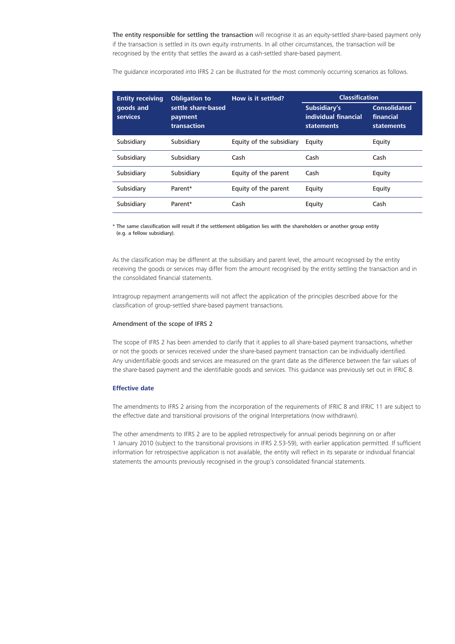The entity responsible for settling the transaction will recognise it as an equity-settled share-based payment only if the transaction is settled in its own equity instruments. In all other circumstances, the transaction will be recognised by the entity that settles the award as a cash-settled share-based payment.

The guidance incorporated into IFRS 2 can be illustrated for the most commonly occurring scenarios as follows.

| <b>Entity receiving</b><br>goods and<br><b>services</b> | <b>Obligation to</b><br>settle share-based<br>payment<br>transaction | How is it settled?       | <b>Classification</b>                                     |                                                |
|---------------------------------------------------------|----------------------------------------------------------------------|--------------------------|-----------------------------------------------------------|------------------------------------------------|
|                                                         |                                                                      |                          | Subsidiary's<br>individual financial<br><b>statements</b> | <b>Consolidated</b><br>financial<br>statements |
| Subsidiary                                              | Subsidiary                                                           | Equity of the subsidiary | Equity                                                    | Equity                                         |
| Subsidiary                                              | Subsidiary                                                           | Cash                     | Cash                                                      | Cash                                           |
| Subsidiary                                              | Subsidiary                                                           | Equity of the parent     | Cash                                                      | Equity                                         |
| Subsidiary                                              | Parent*                                                              | Equity of the parent     | Equity                                                    | Equity                                         |
| Subsidiary                                              | Parent*                                                              | Cash                     | Equity                                                    | Cash                                           |

\* The same classification will result if the settlement obligation lies with the shareholders or another group entity (e.g. a fellow subsidiary).

As the classification may be different at the subsidiary and parent level, the amount recognised by the entity receiving the goods or services may differ from the amount recognised by the entity settling the transaction and in the consolidated financial statements.

Intragroup repayment arrangements will not affect the application of the principles described above for the classification of group-settled share-based payment transactions.

#### Amendment of the scope of IFRS 2

The scope of IFRS 2 has been amended to clarify that it applies to all share-based payment transactions, whether or not the goods or services received under the share-based payment transaction can be individually identified. Any unidentifiable goods and services are measured on the grant date as the difference between the fair values of the share-based payment and the identifiable goods and services. This guidance was previously set out in IFRIC 8.

#### **Effective date**

The amendments to IFRS 2 arising from the incorporation of the requirements of IFRIC 8 and IFRIC 11 are subject to the effective date and transitional provisions of the original Interpretations (now withdrawn).

The other amendments to IFRS 2 are to be applied retrospectively for annual periods beginning on or after 1 January 2010 (subject to the transitional provisions in IFRS 2.53-59), with earlier application permitted. If sufficient information for retrospective application is not available, the entity will reflect in its separate or individual financial statements the amounts previously recognised in the group's consolidated financial statements.